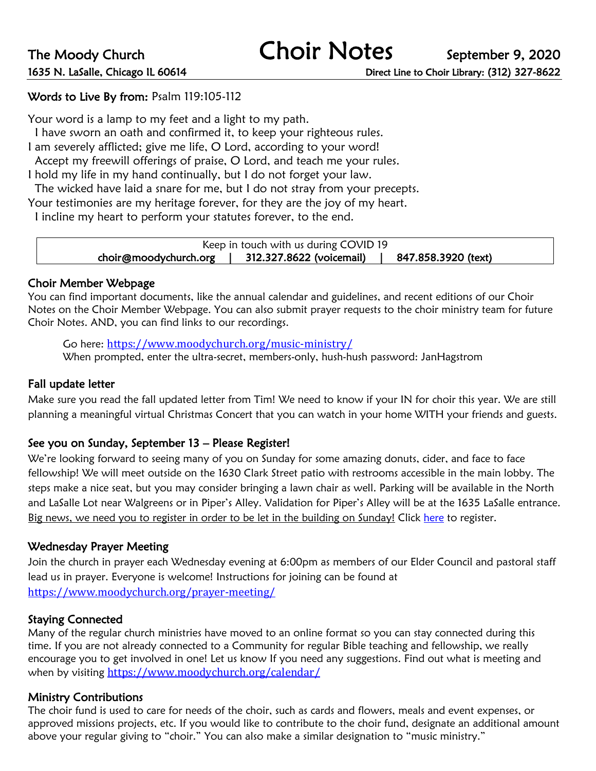# Words to Live By from: Psalm 119:105-112

Your word is a lamp to my feet and a light to my path.

I have sworn an oath and confirmed it, to keep your righteous rules.

I am severely afflicted; give me life, O Lord, according to your word!

Accept my freewill offerings of praise, O Lord, and teach me your rules.

I hold my life in my hand continually, but I do not forget your law.

The wicked have laid a snare for me, but I do not stray from your precepts.

Your testimonies are my heritage forever, for they are the joy of my heart.

I incline my heart to perform your statutes forever, to the end.

| Keep in touch with us during COVID 19 |                          |                     |
|---------------------------------------|--------------------------|---------------------|
| choir@moodychurch.org                 | 312.327.8622 (voicemail) | 847.858.3920 (text) |

#### Choir Member Webpage

You can find important documents, like the annual calendar and guidelines, and recent editions of our Choir Notes on the Choir Member Webpage. You can also submit prayer requests to the choir ministry team for future Choir Notes. AND, you can find links to our recordings.

Go here: https://www.moodychurch.org/music-ministry/ 

When prompted, enter the ultra-secret, members-only, hush-hush password: JanHagstrom

### Fall update letter

Make sure you read the fall updated letter from Tim! We need to know if your IN for choir this year. We are still planning a meaningful virtual Christmas Concert that you can watch in your home WITH your friends and guests.

# See you on Sunday, September 13 – Please Register!

We're looking forward to seeing many of you on Sunday for some amazing donuts, cider, and face to face fellowship! We will meet outside on the 1630 Clark Street patio with restrooms accessible in the main lobby. The steps make a nice seat, but you may consider bringing a lawn chair as well. Parking will be available in the North and LaSalle Lot near Walgreens or in Piper's Alley. Validation for Piper's Alley will be at the 1635 LaSalle entrance. Big news, we need you to register in order to be let in the building on Sunday! Click here to register.

#### Wednesday Prayer Meeting

Join the church in prayer each Wednesday evening at 6:00pm as members of our Elder Council and pastoral staff lead us in prayer. Everyone is welcome! Instructions for joining can be found at https://www.moodychurch.org/prayer-meeting/

#### Staying Connected

Many of the regular church ministries have moved to an online format so you can stay connected during this time. If you are not already connected to a Community for regular Bible teaching and fellowship, we really encourage you to get involved in one! Let us know If you need any suggestions. Find out what is meeting and when by visiting https://www.moodychurch.org/calendar/

# Ministry Contributions

The choir fund is used to care for needs of the choir, such as cards and flowers, meals and event expenses, or approved missions projects, etc. If you would like to contribute to the choir fund, designate an additional amount above your regular giving to "choir." You can also make a similar designation to "music ministry."